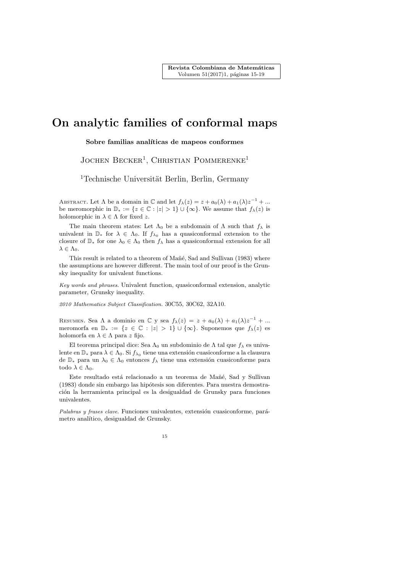Revista Colombiana de Matemáticas Volumen 51(2017)1, páginas 15-19

## On analytic families of conformal maps

Sobre familias analíticas de mapeos conformes

JOCHEN BECKER<sup>1</sup>, CHRISTIAN POMMERENKE<sup>1</sup>

<sup>1</sup>Technische Universität Berlin, Berlin, Germany

ABSTRACT. Let  $\Lambda$  be a domain in  $\mathbb C$  and let  $f_{\lambda}(z) = z + a_0(\lambda) + a_1(\lambda)z^{-1} + ...$ be meromorphic in  $\mathbb{D}_* := \{z \in \mathbb{C} : |z| > 1\} \cup \{\infty\}.$  We assume that  $f_{\lambda}(z)$  is holomorphic in  $\lambda \in \Lambda$  for fixed z.

The main theorem states: Let  $\Lambda_0$  be a subdomain of  $\Lambda$  such that  $f_\lambda$  is univalent in  $\mathbb{D}_*$  for  $\lambda \in \Lambda_0$ . If  $f_{\lambda_0}$  has a quasiconformal extension to the closure of  $\mathbb{D}_*$  for one  $\lambda_0 \in \Lambda_0$  then  $f_\lambda$  has a quasiconformal extension for all  $\lambda \in \Lambda_0$ .

This result is related to a theorem of Mañé, Sad and Sullivan (1983) where the assumptions are however different. The main tool of our proof is the Grunsky inequality for univalent functions.

Key words and phrases. Univalent function, quasiconformal extension, analytic parameter, Grunsky inequality.

2010 Mathematics Subject Classification. 30C55, 30C62, 32A10.

RESUMEN. Sea  $\Lambda$  a dominio en  $\mathbb C$  y sea  $f_{\lambda}(z) = z + a_0(\lambda) + a_1(\lambda)z^{-1} + ...$ meromorfa en  $\mathbb{D}_* := \{z \in \mathbb{C} : |z| > 1\} \cup \{\infty\}.$  Suponemos que  $f_\lambda(z)$  es holomorfa en  $\lambda \in \Lambda$  para z fijo.

El teorema principal dice: Sea  $\Lambda_0$  un subdominio de  $\Lambda$  tal que  $f_\lambda$  es univalente en  $\mathbb{D}_*$ para  $\lambda \in \Lambda_0.$  Si  $f_{\lambda_0}$ tiene una extensión cuasiconforme a la clausura de  $\mathbb{D}_*$  para un  $\lambda_0 \in \Lambda_0$  entonces  $f_\lambda$  tiene una extensión cuasiconforme para todo  $\lambda \in \Lambda_0$ .

Este resultado está relacionado a un teorema de Mañé, Sad y Sullivan (1983) donde sin embargo las hipótesis son diferentes. Para nuestra demostración la herramienta principal es la desigualdad de Grunsky para funciones univalentes.

Palabras y frases clave. Funciones univalentes, extensión cuasiconforme, parámetro analítico, desigualdad de Grunsky.

15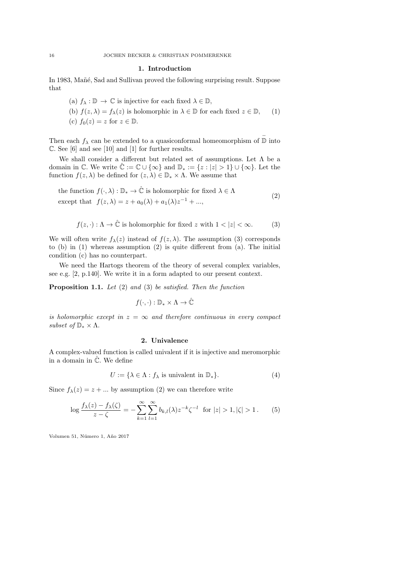## 1. Introduction

In 1983, Mañé, Sad and Sullivan proved the following surprising result. Suppose that

(a)  $f_{\lambda}: \mathbb{D} \to \mathbb{C}$  is injective for each fixed  $\lambda \in \mathbb{D}$ , (b)  $f(z, \lambda) = f_{\lambda}(z)$  is holomorphic in  $\lambda \in \mathbb{D}$  for each fixed  $z \in \mathbb{D}$ , (c)  $f_0(z) = z$  for  $z \in \mathbb{D}$ . (1)

Then each  $f_{\lambda}$  can be extended to a quasiconformal homeomorphism of  $\overline{\mathbb{D}}$  into C. See [6] and see [10] and [1] for further results.

We shall consider a different but related set of assumptions. Let  $\Lambda$  be a domain in  $\mathbb{C}$ . We write  $\hat{\mathbb{C}} := \mathbb{C} \cup \{\infty\}$  and  $\mathbb{D}_* := \{z : |z| > 1\} \cup \{\infty\}$ . Let the function  $f(z, \lambda)$  be defined for  $(z, \lambda) \in \mathbb{D}_* \times \Lambda$ . We assume that

the function 
$$
f(\cdot, \lambda) : \mathbb{D}_* \to \hat{\mathbb{C}}
$$
 is holomorphic for fixed  $\lambda \in \Lambda$   
except that  $f(z, \lambda) = z + a_0(\lambda) + a_1(\lambda)z^{-1} + ...$ , (2)

$$
f(z, \cdot) : \Lambda \to \hat{\mathbb{C}} \text{ is holomorphic for fixed } z \text{ with } 1 < |z| < \infty.
$$
 (3)

We will often write  $f_{\lambda}(z)$  instead of  $f(z, \lambda)$ . The assumption (3) corresponds to (b) in (1) whereas assumption (2) is quite different from (a). The initial condition (c) has no counterpart.

We need the Hartogs theorem of the theory of several complex variables, see e.g. [2, p.140]. We write it in a form adapted to our present context.

Proposition 1.1. Let (2) and (3) be satisfied. Then the function

$$
f(\cdot,\cdot): \mathbb{D}_* \times \Lambda \to \hat{\mathbb{C}}
$$

is holomorphic except in  $z = \infty$  and therefore continuous in every compact subset of  $\mathbb{D}_* \times \Lambda$ .

## 2. Univalence

A complex-valued function is called univalent if it is injective and meromorphic in a domain in  $\hat{\mathbb{C}}$ . We define

$$
U := \{ \lambda \in \Lambda : f_{\lambda} \text{ is univalent in } \mathbb{D}_* \}. \tag{4}
$$

Since  $f_{\lambda}(z) = z + ...$  by assumption (2) we can therefore write

$$
\log \frac{f_{\lambda}(z) - f_{\lambda}(\zeta)}{z - \zeta} = -\sum_{k=1}^{\infty} \sum_{l=1}^{\infty} b_{k,l}(\lambda) z^{-k} \zeta^{-l} \text{ for } |z| > 1, |\zeta| > 1.
$$
 (5)

Volumen 51, Número 1, Año 2017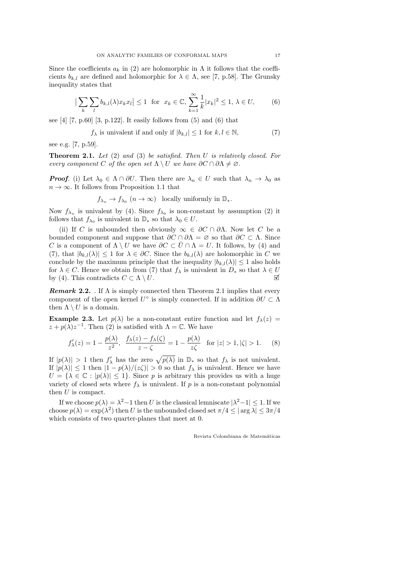Since the coefficients  $a_k$  in (2) are holomorphic in  $\Lambda$  it follows that the coefficients  $b_{k,l}$  are defined and holomorphic for  $\lambda \in \Lambda$ , see [7, p.58]. The Grunsky inequality states that

$$
\left|\sum_{k}\sum_{l}b_{k,l}(\lambda)x_{k}x_{l}\right| \leq 1 \quad \text{for} \quad x_{k} \in \mathbb{C}, \sum_{k=1}^{\infty}\frac{1}{k}|x_{k}|^{2} \leq 1, \ \lambda \in U,\tag{6}
$$

see  $[4]$   $[7, p.60]$   $[3, p.122]$ . It easily follows from  $(5)$  and  $(6)$  that

$$
f_{\lambda} \text{ is univalent if and only if } |b_{k,l}| \le 1 \text{ for } k, l \in \mathbb{N},\tag{7}
$$

see e.g. [7, p.59].

**Theorem 2.1.** Let  $(2)$  and  $(3)$  be satisfied. Then U is relatively closed. For every component C of the open set  $\Lambda \setminus U$  we have  $\partial C \cap \partial \Lambda \neq \emptyset$ .

**Proof.** (i) Let  $\lambda_0 \in \Lambda \cap \partial U$ . Then there are  $\lambda_n \in U$  such that  $\lambda_n \to \lambda_0$  as  $n \to \infty$ . It follows from Proposition 1.1 that

 $f_{\lambda_n} \to f_{\lambda_0}$   $(n \to \infty)$  locally uniformly in  $\mathbb{D}_*.$ 

Now  $f_{\lambda_n}$  is univalent by (4). Since  $f_{\lambda_0}$  is non-constant by assumption (2) it follows that  $f_{\lambda_0}$  is univalent in  $\mathbb{D}_*$  so that  $\lambda_0 \in U$ .

(ii) If C is unbounded then obviously  $\infty \in \partial C \cap \partial \Lambda$ . Now let C be a bounded component and suppose that  $\partial C \cap \partial \Lambda = \emptyset$  so that  $\partial C \subset \Lambda$ . Since C is a component of  $\Lambda \setminus U$  we have  $\partial C \subset \overline{U} \cap \Lambda = U$ . It follows, by (4) and (7), that  $|b_{k,l}(\lambda)| \leq 1$  for  $\lambda \in \partial C$ . Since the  $b_{k,l}(\lambda)$  are holomorphic in C we conclude by the maximum principle that the inequality  $|b_{k,l}(\lambda)| \leq 1$  also holds for  $\lambda \in C$ . Hence we obtain from (7) that  $f_{\lambda}$  is univalent in  $D_*$  so that  $\lambda \in U$ by (4). This contradicts  $C \subset \Lambda \setminus U$ .

**Remark 2.2.** . If  $\Lambda$  is simply connected then Theorem 2.1 implies that every component of the open kernel  $U^{\circ}$  is simply connected. If in addition  $\partial U \subset \Lambda$ then  $\Lambda \setminus U$  is a domain.

**Example 2.3.** Let  $p(\lambda)$  be a non-constant entire function and let  $f_{\lambda}(z)$  =  $z + p(\lambda)z^{-1}$ . Then (2) is satisfied with  $\Lambda = \mathbb{C}$ . We have

$$
f'_{\lambda}(z) = 1 - \frac{p(\lambda)}{z^2}, \quad \frac{f_{\lambda}(z) - f_{\lambda}(\zeta)}{z - \zeta} = 1 - \frac{p(\lambda)}{z\zeta} \quad \text{for } |z| > 1, |\zeta| > 1. \tag{8}
$$

If  $|p(\lambda)| > 1$  then  $f'_{\lambda}$  has the zero  $\sqrt{p(\lambda)}$  in  $\mathbb{D}_{*}$  so that  $f_{\lambda}$  is not univalent. If  $|p(\lambda)| \leq 1$  then  $|1-p(\lambda)/(z\zeta)| > 0$  so that  $f_\lambda$  is univalent. Hence we have  $U = {\lambda \in \mathbb{C} : |p(\lambda)| \leq 1}.$  Since p is arbitrary this provides us with a huge variety of closed sets where  $f_{\lambda}$  is univalent. If p is a non-constant polynomial then U is compact.

If we choose  $p(\lambda) = \lambda^2 - 1$  then U is the classical lemniscate  $|\lambda^2 - 1| \leq 1$ . If we choose  $p(\lambda) = \exp(\lambda^2)$  then U is the unbounded closed set  $\pi/4 \leq |\arg \lambda| \leq 3\pi/4$ which consists of two quarter-planes that meet at 0.

Revista Colombiana de Matemáticas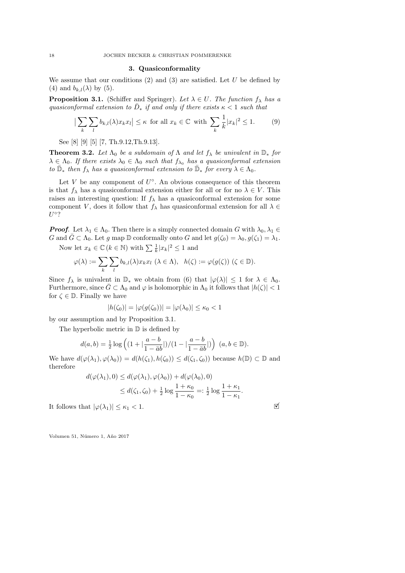## 3. Quasiconformality

We assume that our conditions  $(2)$  and  $(3)$  are satisfied. Let U be defined by (4) and  $b_{k,l}(\lambda)$  by (5).

**Proposition 3.1.** (Schiffer and Springer). Let  $\lambda \in U$ . The function  $f_{\lambda}$  has a quasiconformal extension to  $\bar{D}_*$  if and only if there exists  $\kappa < 1$  such that

$$
\left|\sum_{k}\sum_{l}b_{k,l}(\lambda)x_{k}x_{l}\right| \leq \kappa \text{ for all } x_{k} \in \mathbb{C} \text{ with } \sum_{k}\frac{1}{k}|x_{k}|^{2} \leq 1. \tag{9}
$$

See [8] [9] [5] [7, Th.9.12,Th.9.13].

**Theorem 3.2.** Let  $\Lambda_0$  be a subdomain of  $\Lambda$  and let  $f_\lambda$  be univalent in  $\mathbb{D}_*$  for  $\lambda \in \Lambda_0$ . If there exists  $\lambda_0 \in \Lambda_0$  such that  $f_{\lambda_0}$  has a quasiconformal extension to  $\bar{\mathbb{D}}_*$  then  $f_\lambda$  has a quasiconformal extension to  $\bar{\mathbb{D}}_*$  for every  $\lambda \in \Lambda_0$ .

Let V be any component of  $U^{\circ}$ . An obvious consequence of this theorem is that  $f_{\lambda}$  has a quasiconformal extension either for all or for no  $\lambda \in V$ . This raises an interesting question: If  $f_{\lambda}$  has a quasiconformal extension for some component V, does it follow that  $f_{\lambda}$  has quasiconformal extension for all  $\lambda \in$  $U^{\circ}$ ?

**Proof.** Let  $\lambda_1 \in \Lambda_0$ . Then there is a simply connected domain G with  $\lambda_0, \lambda_1 \in$ G and  $\bar{G} \subset \Lambda_0$ . Let g map D conformally onto G and let  $g(\zeta_0) = \lambda_0, g(\zeta_1) = \lambda_1$ .

Now let  $x_k \in \mathbb{C}$   $(k \in \mathbb{N})$  with  $\sum \frac{1}{k} |x_k|^2 \leq 1$  and

$$
\varphi(\lambda) := \sum_{k} \sum_{l} b_{k,l}(\lambda) x_k x_l \; (\lambda \in \Lambda), \; h(\zeta) := \varphi(g(\zeta)) \; (\zeta \in \mathbb{D}).
$$

Since  $f_\lambda$  is univalent in  $\mathbb{D}_*$  we obtain from (6) that  $|\varphi(\lambda)| \leq 1$  for  $\lambda \in \Lambda_0$ . Furthermore, since  $G \subset \Lambda_0$  and  $\varphi$  is holomorphic in  $\Lambda_0$  it follows that  $|h(\zeta)| < 1$ for  $\zeta \in \mathbb{D}$ . Finally we have

$$
|h(\zeta_0)| = |\varphi(g(\zeta_0))| = |\varphi(\lambda_0)| \le \kappa_0 < 1
$$

by our assumption and by Proposition 3.1.

The hyperbolic metric in  $\mathbb D$  is defined by

$$
d(a,b) = \frac{1}{2}\log\left( (1 + |\frac{a-b}{1 - \bar{a}b}|)/(1 - |\frac{a-b}{1 - \bar{a}b}|) \right) (a, b \in \mathbb{D}).
$$

We have  $d(\varphi(\lambda_1), \varphi(\lambda_0)) = d(h(\zeta_1), h(\zeta_0)) \leq d(\zeta_1, \zeta_0)$  because  $h(\mathbb{D}) \subset \mathbb{D}$  and therefore

$$
d(\varphi(\lambda_1), 0) \le d(\varphi(\lambda_1), \varphi(\lambda_0)) + d(\varphi(\lambda_0), 0)
$$
  
 
$$
\le d(\zeta_1, \zeta_0) + \frac{1}{2} \log \frac{1 + \kappa_0}{1 - \kappa_0} =: \frac{1}{2} \log \frac{1 + \kappa_1}{1 - \kappa_1}.
$$

It follows that  $|\varphi(\lambda_1)| \leq \kappa_1 < 1$ .

Volumen 51, Número 1, Año 2017